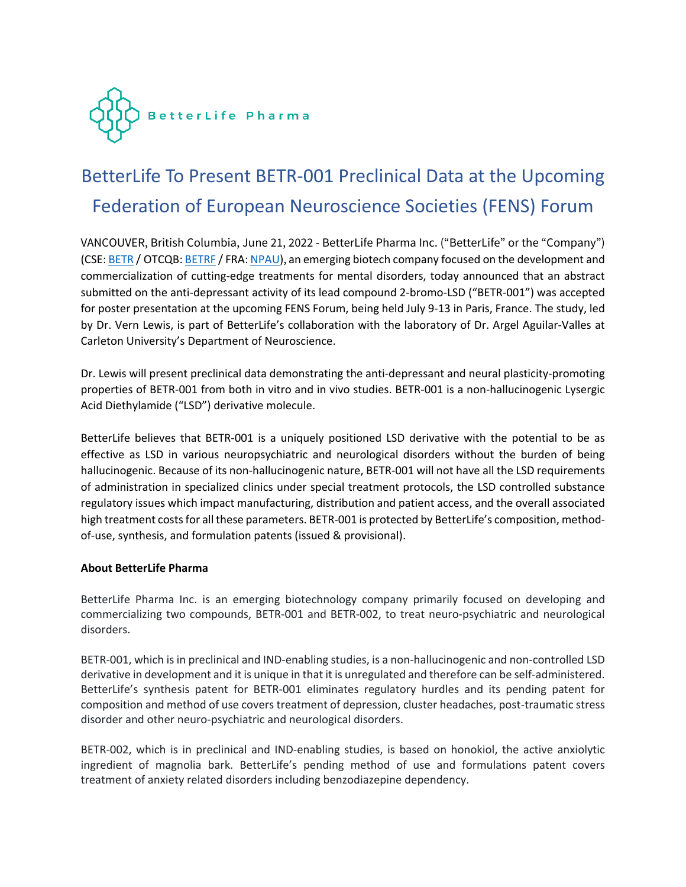

# BetterLife To Present BETR-001 Preclinical Data at the Upcoming Federation of European Neuroscience Societies (FENS) Forum

VANCOUVER, British Columbia, June 21, 2022 - BetterLife Pharma Inc. ("BetterLife" or the "Company") (CSE: BETR / OTCQB: BETRF / FRA: NPAU), an emerging biotech company focused on the development and commercialization of cutting-edge treatments for mental disorders, today announced that an abstract submitted on the anti-depressant activity of its lead compound 2-bromo-LSD ("BETR-001") was accepted for poster presentation at the upcoming FENS Forum, being held July 9-13 in Paris, France. The study, led by Dr. Vern Lewis, is part of BetterLife's collaboration with the laboratory of Dr. Argel Aguilar-Valles at Carleton University's Department of Neuroscience.

Dr. Lewis will present preclinical data demonstrating the anti-depressant and neural plasticity-promoting properties of BETR-001 from both in vitro and in vivo studies. BETR-001 is a non-hallucinogenic Lysergic Acid Diethylamide ("LSD") derivative molecule.

BetterLife believes that BETR-001 is a uniquely positioned LSD derivative with the potential to be as effective as LSD in various neuropsychiatric and neurological disorders without the burden of being hallucinogenic. Because of its non-hallucinogenic nature, BETR-001 will not have all the LSD requirements of administration in specialized clinics under special treatment protocols, the LSD controlled substance regulatory issues which impact manufacturing, distribution and patient access, and the overall associated high treatment costs for all these parameters. BETR-001 is protected by BetterLife's composition, methodof-use, synthesis, and formulation patents (issued & provisional).

## **About BetterLife Pharma**

BetterLife Pharma Inc. is an emerging biotechnology company primarily focused on developing and commercializing two compounds, BETR-001 and BETR-002, to treat neuro-psychiatric and neurological disorders.

BETR-001, which is in preclinical and IND-enabling studies, is a non-hallucinogenic and non-controlled LSD derivative in development and it is unique in that it is unregulated and therefore can be self-administered. BetterLife's synthesis patent for BETR-001 eliminates regulatory hurdles and its pending patent for composition and method of use covers treatment of depression, cluster headaches, post-traumatic stress disorder and other neuro-psychiatric and neurological disorders.

BETR-002, which is in preclinical and IND-enabling studies, is based on honokiol, the active anxiolytic ingredient of magnolia bark. BetterLife's pending method of use and formulations patent covers treatment of anxiety related disorders including benzodiazepine dependency.